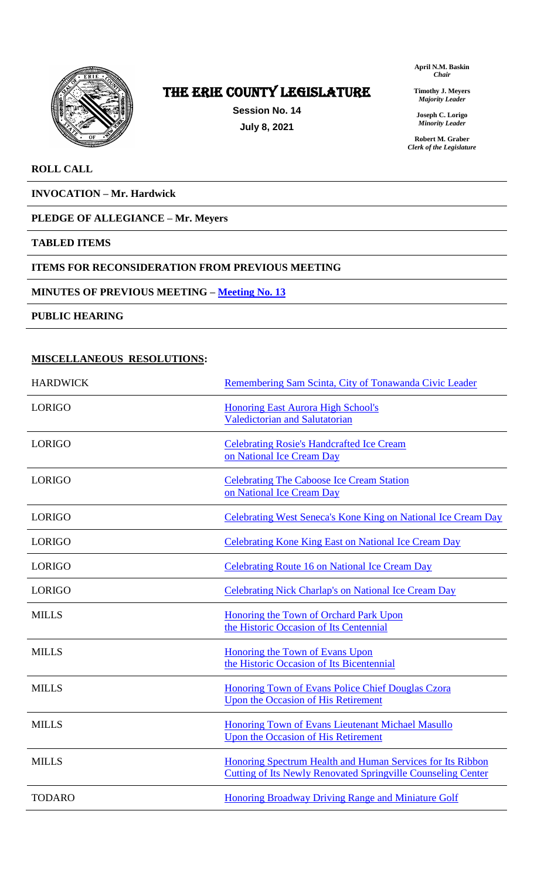

# The ERIE COUNTY LEGISLATURE

**Session No. 14 July 8, 2021**

**April N.M. Baskin** *Chair*

**Timothy J. Meyers** *Majority Leader*

**Joseph C. Lorigo** *Minority Leader*

**Robert M. Graber** *Clerk of the Legislature*

### **ROLL CALL**

**INVOCATION – Mr. Hardwick**

### **PLEDGE OF ALLEGIANCE – Mr. Meyers**

### **TABLED ITEMS**

### **ITEMS FOR RECONSIDERATION FROM PREVIOUS MEETING**

### **MINUTES OF PREVIOUS MEETING – [Meeting No. 13](https://www2.erie.gov/legislature/sites/www2.erie.gov.legislature/files/uploads/Session_Folders/2021/14/Meeting%2013%20from%202021%20minutes.pdf)**

**PUBLIC HEARING**

### **MISCELLANEOUS RESOLUTIONS:**

| <b>HARDWICK</b> | Remembering Sam Scinta, City of Tonawanda Civic Leader                                                                            |
|-----------------|-----------------------------------------------------------------------------------------------------------------------------------|
| <b>LORIGO</b>   | <b>Honoring East Aurora High School's</b><br><b>Valedictorian and Salutatorian</b>                                                |
| <b>LORIGO</b>   | <b>Celebrating Rosie's Handcrafted Ice Cream</b><br>on National Ice Cream Day                                                     |
| <b>LORIGO</b>   | <b>Celebrating The Caboose Ice Cream Station</b><br>on National Ice Cream Day                                                     |
| <b>LORIGO</b>   | Celebrating West Seneca's Kone King on National Ice Cream Day                                                                     |
| <b>LORIGO</b>   | <b>Celebrating Kone King East on National Ice Cream Day</b>                                                                       |
| <b>LORIGO</b>   | <b>Celebrating Route 16 on National Ice Cream Day</b>                                                                             |
| <b>LORIGO</b>   | <b>Celebrating Nick Charlap's on National Ice Cream Day</b>                                                                       |
| <b>MILLS</b>    | Honoring the Town of Orchard Park Upon<br>the Historic Occasion of Its Centennial                                                 |
| <b>MILLS</b>    | Honoring the Town of Evans Upon<br>the Historic Occasion of Its Bicentennial                                                      |
| <b>MILLS</b>    | Honoring Town of Evans Police Chief Douglas Czora<br>Upon the Occasion of His Retirement                                          |
| <b>MILLS</b>    | <b>Honoring Town of Evans Lieutenant Michael Masullo</b><br><b>Upon the Occasion of His Retirement</b>                            |
| <b>MILLS</b>    | Honoring Spectrum Health and Human Services for Its Ribbon<br><b>Cutting of Its Newly Renovated Springville Counseling Center</b> |
| TODARO          | Honoring Broadway Driving Range and Miniature Golf                                                                                |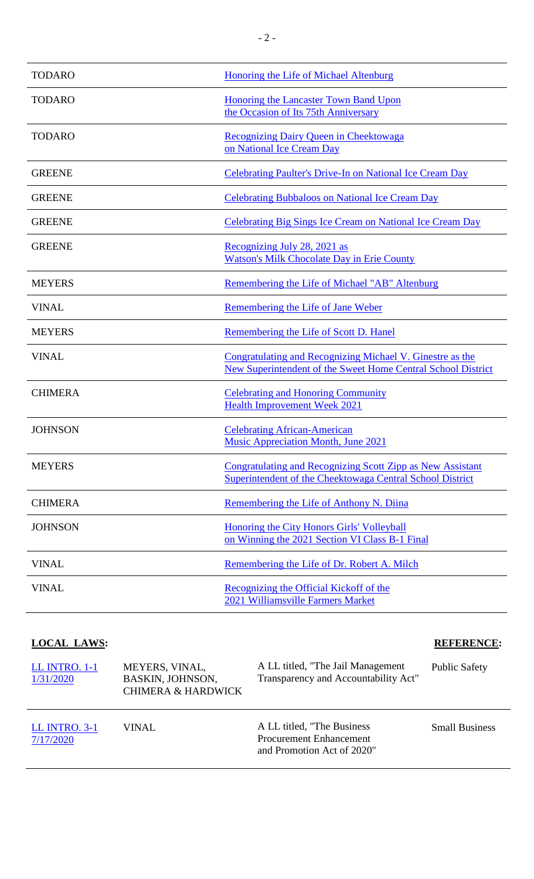| <b>TODARO</b>  | <b>Honoring the Life of Michael Altenburg</b>                                                                                    |
|----------------|----------------------------------------------------------------------------------------------------------------------------------|
| <b>TODARO</b>  | <b>Honoring the Lancaster Town Band Upon</b><br>the Occasion of Its 75th Anniversary                                             |
| <b>TODARO</b>  | Recognizing Dairy Queen in Cheektowaga<br>on National Ice Cream Day                                                              |
| <b>GREENE</b>  | <b>Celebrating Paulter's Drive-In on National Ice Cream Day</b>                                                                  |
| <b>GREENE</b>  | <b>Celebrating Bubbaloos on National Ice Cream Day</b>                                                                           |
| <b>GREENE</b>  | <b>Celebrating Big Sings Ice Cream on National Ice Cream Day</b>                                                                 |
| <b>GREENE</b>  | Recognizing July 28, 2021 as<br><b>Watson's Milk Chocolate Day in Erie County</b>                                                |
| <b>MEYERS</b>  | Remembering the Life of Michael "AB" Altenburg                                                                                   |
| <b>VINAL</b>   | Remembering the Life of Jane Weber                                                                                               |
| <b>MEYERS</b>  | Remembering the Life of Scott D. Hanel                                                                                           |
| <b>VINAL</b>   | Congratulating and Recognizing Michael V. Ginestre as the<br><b>New Superintendent of the Sweet Home Central School District</b> |
| <b>CHIMERA</b> | <b>Celebrating and Honoring Community</b><br><b>Health Improvement Week 2021</b>                                                 |
| <b>JOHNSON</b> | <b>Celebrating African-American</b><br>Music Appreciation Month, June 2021                                                       |
| <b>MEYERS</b>  | Congratulating and Recognizing Scott Zipp as New Assistant<br>Superintendent of the Cheektowaga Central School District          |
| <b>CHIMERA</b> | Remembering the Life of Anthony N. Diina                                                                                         |
| <b>JOHNSON</b> | Honoring the City Honors Girls' Volleyball<br>on Winning the 2021 Section VI Class B-1 Final                                     |
| <b>VINAL</b>   | Remembering the Life of Dr. Robert A. Milch                                                                                      |
| <b>VINAL</b>   | Recognizing the Official Kickoff of the<br>2021 Williamsville Farmers Market                                                     |

## **LOCAL LAWS: REFERENCE:**

| <b>LL INTRO. 1-1</b><br>1/31/2020 | MEYERS, VINAL,<br>BASKIN, JOHNSON,<br><b>CHIMERA &amp; HARDWICK</b> | A LL titled, "The Jail Management"<br>Transparency and Accountability Act"                  | <b>Public Safety</b>  |
|-----------------------------------|---------------------------------------------------------------------|---------------------------------------------------------------------------------------------|-----------------------|
| <b>LL INTRO. 3-1</b><br>7/17/2020 | VINAL                                                               | A LL titled, "The Business"<br><b>Procurement Enhancement</b><br>and Promotion Act of 2020" | <b>Small Business</b> |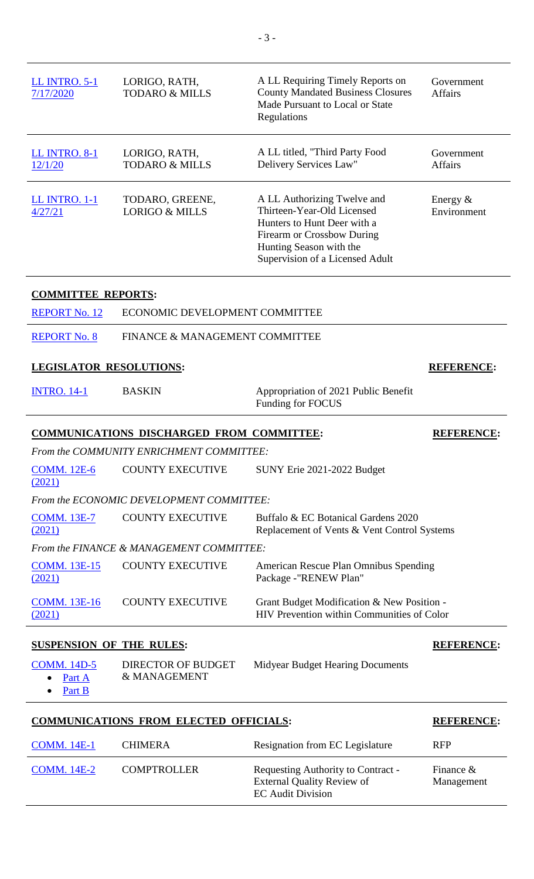| <b>LL INTRO. 5-1</b><br>7/17/2020 | LORIGO, RATH,<br><b>TODARO &amp; MILLS</b>       | A LL Requiring Timely Reports on<br><b>County Mandated Business Closures</b><br>Made Pursuant to Local or State<br>Regulations                                                       | Government<br><b>Affairs</b> |
|-----------------------------------|--------------------------------------------------|--------------------------------------------------------------------------------------------------------------------------------------------------------------------------------------|------------------------------|
| <b>LL INTRO. 8-1</b><br>12/1/20   | LORIGO, RATH,<br><b>TODARO &amp; MILLS</b>       | A LL titled, "Third Party Food<br>Delivery Services Law"                                                                                                                             | Government<br><b>Affairs</b> |
| LL INTRO. 1-1<br>4/27/21          | TODARO, GREENE,<br><b>LORIGO &amp; MILLS</b>     | A LL Authorizing Twelve and<br>Thirteen-Year-Old Licensed<br>Hunters to Hunt Deer with a<br>Firearm or Crossbow During<br>Hunting Season with the<br>Supervision of a Licensed Adult | Energy $&$<br>Environment    |
| <b>COMMITTEE REPORTS:</b>         |                                                  |                                                                                                                                                                                      |                              |
| <b>REPORT No. 12</b>              | ECONOMIC DEVELOPMENT COMMITTEE                   |                                                                                                                                                                                      |                              |
| <b>REPORT No. 8</b>               | FINANCE & MANAGEMENT COMMITTEE                   |                                                                                                                                                                                      |                              |
| <b>LEGISLATOR RESOLUTIONS:</b>    |                                                  |                                                                                                                                                                                      | <b>REFERENCE:</b>            |
|                                   |                                                  |                                                                                                                                                                                      |                              |
| <b>INTRO. 14-1</b>                | <b>BASKIN</b>                                    | Appropriation of 2021 Public Benefit<br>Funding for FOCUS                                                                                                                            |                              |
|                                   | <b>COMMUNICATIONS DISCHARGED FROM COMMITTEE:</b> |                                                                                                                                                                                      | <b>REFERENCE:</b>            |
|                                   | From the COMMUNITY ENRICHMENT COMMITTEE:         |                                                                                                                                                                                      |                              |
| <b>COMM.</b> 12E-6<br>(2021)      | <b>COUNTY EXECUTIVE</b>                          | SUNY Erie 2021-2022 Budget                                                                                                                                                           |                              |
|                                   | From the ECONOMIC DEVELOPMENT COMMITTEE:         |                                                                                                                                                                                      |                              |
| <b>COMM. 13E-7</b><br>(2021)      | <b>COUNTY EXECUTIVE</b>                          | Buffalo & EC Botanical Gardens 2020<br>Replacement of Vents & Vent Control Systems                                                                                                   |                              |
|                                   | From the FINANCE & MANAGEMENT COMMITTEE:         |                                                                                                                                                                                      |                              |
| <b>COMM. 13E-15</b><br>(2021)     | <b>COUNTY EXECUTIVE</b>                          | American Rescue Plan Omnibus Spending<br>Package -"RENEW Plan"                                                                                                                       |                              |
| <b>COMM. 13E-16</b><br>(2021)     | <b>COUNTY EXECUTIVE</b>                          | Grant Budget Modification & New Position -<br>HIV Prevention within Communities of Color                                                                                             |                              |
| <b>SUSPENSION OF THE RULES:</b>   |                                                  |                                                                                                                                                                                      | <b>REFERENCE:</b>            |

## **COMMUNICATIONS FROM ELECTED OFFICIALS: REFERENCE:**

| <b>COMM.</b> 14E-1 | <b>CHIMERA</b>     | Resignation from EC Legislature                                                                     | <b>RFP</b>                 |
|--------------------|--------------------|-----------------------------------------------------------------------------------------------------|----------------------------|
| <b>COMM.</b> 14E-2 | <b>COMPTROLLER</b> | Requesting Authority to Contract -<br><b>External Quality Review of</b><br><b>EC</b> Audit Division | Finance $\&$<br>Management |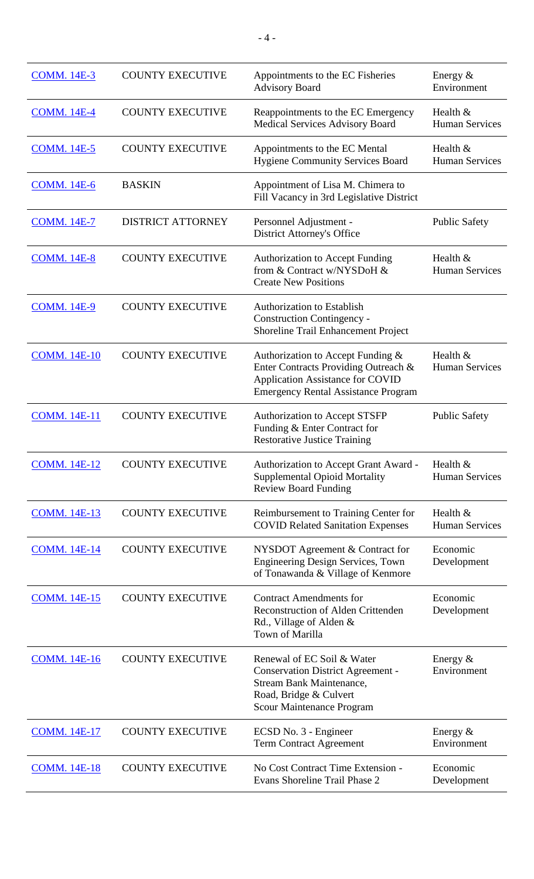| <b>COMM. 14E-3</b>  | <b>COUNTY EXECUTIVE</b>  | Appointments to the EC Fisheries<br><b>Advisory Board</b>                                                                                                               | Energy &<br>Environment             |
|---------------------|--------------------------|-------------------------------------------------------------------------------------------------------------------------------------------------------------------------|-------------------------------------|
| <b>COMM. 14E-4</b>  | <b>COUNTY EXECUTIVE</b>  | Reappointments to the EC Emergency<br><b>Medical Services Advisory Board</b>                                                                                            | Health $&$<br><b>Human Services</b> |
| <b>COMM. 14E-5</b>  | <b>COUNTY EXECUTIVE</b>  | Appointments to the EC Mental<br><b>Hygiene Community Services Board</b>                                                                                                | Health &<br><b>Human Services</b>   |
| <b>COMM. 14E-6</b>  | <b>BASKIN</b>            | Appointment of Lisa M. Chimera to<br>Fill Vacancy in 3rd Legislative District                                                                                           |                                     |
| <b>COMM. 14E-7</b>  | <b>DISTRICT ATTORNEY</b> | Personnel Adjustment -<br><b>District Attorney's Office</b>                                                                                                             | <b>Public Safety</b>                |
| <b>COMM. 14E-8</b>  | <b>COUNTY EXECUTIVE</b>  | <b>Authorization to Accept Funding</b><br>from & Contract w/NYSDoH &<br><b>Create New Positions</b>                                                                     | Health &<br><b>Human Services</b>   |
| <b>COMM. 14E-9</b>  | <b>COUNTY EXECUTIVE</b>  | <b>Authorization to Establish</b><br><b>Construction Contingency -</b><br>Shoreline Trail Enhancement Project                                                           |                                     |
| <b>COMM. 14E-10</b> | <b>COUNTY EXECUTIVE</b>  | Authorization to Accept Funding &<br>Enter Contracts Providing Outreach &<br><b>Application Assistance for COVID</b><br><b>Emergency Rental Assistance Program</b>      | Health &<br><b>Human Services</b>   |
| <b>COMM. 14E-11</b> | <b>COUNTY EXECUTIVE</b>  | <b>Authorization to Accept STSFP</b><br>Funding & Enter Contract for<br><b>Restorative Justice Training</b>                                                             | <b>Public Safety</b>                |
| <b>COMM. 14E-12</b> | <b>COUNTY EXECUTIVE</b>  | Authorization to Accept Grant Award -<br><b>Supplemental Opioid Mortality</b><br><b>Review Board Funding</b>                                                            | Health &<br><b>Human Services</b>   |
| <b>COMM. 14E-13</b> | <b>COUNTY EXECUTIVE</b>  | Reimbursement to Training Center for<br><b>COVID Related Sanitation Expenses</b>                                                                                        | Health &<br><b>Human Services</b>   |
| <b>COMM. 14E-14</b> | <b>COUNTY EXECUTIVE</b>  | NYSDOT Agreement & Contract for<br>Engineering Design Services, Town<br>of Tonawanda & Village of Kenmore                                                               | Economic<br>Development             |
| <b>COMM. 14E-15</b> | <b>COUNTY EXECUTIVE</b>  | <b>Contract Amendments for</b><br><b>Reconstruction of Alden Crittenden</b><br>Rd., Village of Alden &<br>Town of Marilla                                               | Economic<br>Development             |
| <b>COMM.</b> 14E-16 | <b>COUNTY EXECUTIVE</b>  | Renewal of EC Soil & Water<br><b>Conservation District Agreement -</b><br><b>Stream Bank Maintenance,</b><br>Road, Bridge & Culvert<br><b>Scour Maintenance Program</b> | Energy $&$<br>Environment           |
| <b>COMM.</b> 14E-17 | <b>COUNTY EXECUTIVE</b>  | ECSD No. 3 - Engineer<br><b>Term Contract Agreement</b>                                                                                                                 | Energy $&$<br>Environment           |
| <b>COMM. 14E-18</b> | <b>COUNTY EXECUTIVE</b>  | No Cost Contract Time Extension -<br>Evans Shoreline Trail Phase 2                                                                                                      | Economic<br>Development             |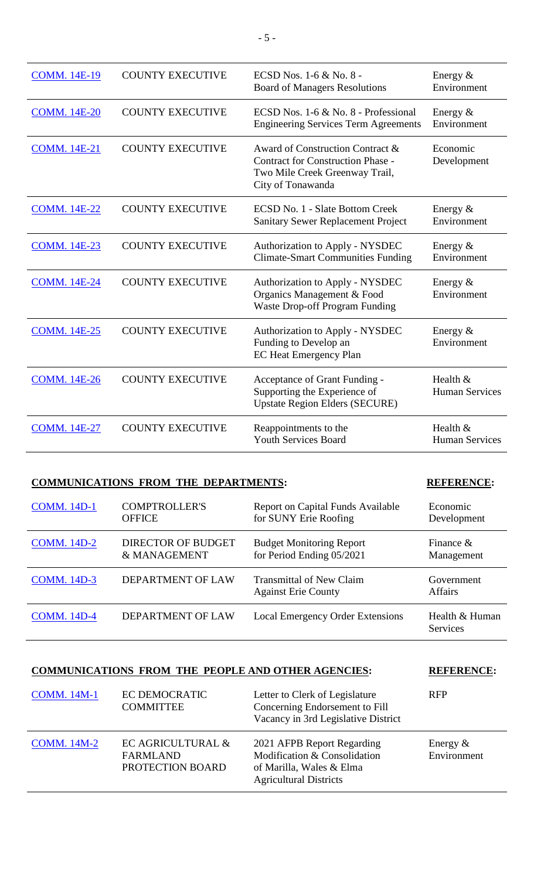| <b>COMM. 14E-19</b> | <b>COUNTY EXECUTIVE</b> | ECSD Nos. 1-6 & No. 8 -<br><b>Board of Managers Resolutions</b>                                                                     | Energy $&$<br>Environment         |
|---------------------|-------------------------|-------------------------------------------------------------------------------------------------------------------------------------|-----------------------------------|
| <b>COMM.</b> 14E-20 | <b>COUNTY EXECUTIVE</b> | ECSD Nos. 1-6 & No. 8 - Professional<br><b>Engineering Services Term Agreements</b>                                                 | Energy $&$<br>Environment         |
| <b>COMM. 14E-21</b> | <b>COUNTY EXECUTIVE</b> | Award of Construction Contract &<br><b>Contract for Construction Phase -</b><br>Two Mile Creek Greenway Trail,<br>City of Tonawanda | Economic<br>Development           |
| <b>COMM. 14E-22</b> | <b>COUNTY EXECUTIVE</b> | <b>ECSD No. 1 - Slate Bottom Creek</b><br><b>Sanitary Sewer Replacement Project</b>                                                 | Energy $&$<br>Environment         |
| <b>COMM. 14E-23</b> | <b>COUNTY EXECUTIVE</b> | <b>Authorization to Apply - NYSDEC</b><br><b>Climate-Smart Communities Funding</b>                                                  | Energy $&$<br>Environment         |
| <b>COMM. 14E-24</b> | <b>COUNTY EXECUTIVE</b> | <b>Authorization to Apply - NYSDEC</b><br>Organics Management & Food<br><b>Waste Drop-off Program Funding</b>                       | Energy $&$<br>Environment         |
| <b>COMM. 14E-25</b> | <b>COUNTY EXECUTIVE</b> | <b>Authorization to Apply - NYSDEC</b><br>Funding to Develop an<br><b>EC Heat Emergency Plan</b>                                    | Energy $&$<br>Environment         |
| <b>COMM. 14E-26</b> | <b>COUNTY EXECUTIVE</b> | Acceptance of Grant Funding -<br>Supporting the Experience of<br><b>Upstate Region Elders (SECURE)</b>                              | Health &<br><b>Human Services</b> |
| <b>COMM.</b> 14E-27 | <b>COUNTY EXECUTIVE</b> | Reappointments to the<br><b>Youth Services Board</b>                                                                                | Health &<br><b>Human Services</b> |

## **COMMUNICATIONS FROM THE DEPARTMENTS: REFERENCE:**

| <b>COMM.</b> 14D-1 | <b>COMPTROLLER'S</b>     | <b>Report on Capital Funds Available</b>                      | Economic                          |
|--------------------|--------------------------|---------------------------------------------------------------|-----------------------------------|
|                    | <b>OFFICE</b>            | for SUNY Erie Roofing                                         | Development                       |
| <b>COMM.</b> 14D-2 | DIRECTOR OF BUDGET       | <b>Budget Monitoring Report</b>                               | Finance $\&$                      |
|                    | & MANAGEMENT             | for Period Ending 05/2021                                     | Management                        |
| <b>COMM.</b> 14D-3 | <b>DEPARTMENT OF LAW</b> | <b>Transmittal of New Claim</b><br><b>Against Erie County</b> | Government<br><b>Affairs</b>      |
| <b>COMM.</b> 14D-4 | <b>DEPARTMENT OF LAW</b> | <b>Local Emergency Order Extensions</b>                       | Health & Human<br><b>Services</b> |

| <b>COMMUNICATIONS FROM THE PEOPLE AND OTHER AGENCIES:</b> |                                   |                                                                  | <b>REFERENCE:</b> |
|-----------------------------------------------------------|-----------------------------------|------------------------------------------------------------------|-------------------|
| <b>COMM.</b> 14M-1                                        | EC DEMOCRATIC<br><b>COMMITTEE</b> | Letter to Clerk of Legislature<br>Concerning Endorsement to Fill | <b>RFP</b>        |

|                    |                                                   | Vacancy in 3rd Legislative District                                                                                     |                            |
|--------------------|---------------------------------------------------|-------------------------------------------------------------------------------------------------------------------------|----------------------------|
| <b>COMM.</b> 14M-2 | EC AGRICULTURAL &<br>FARMLAND<br>PROTECTION BOARD | 2021 AFPB Report Regarding<br>Modification & Consolidation<br>of Marilla, Wales & Elma<br><b>Agricultural Districts</b> | Energy $\&$<br>Environment |